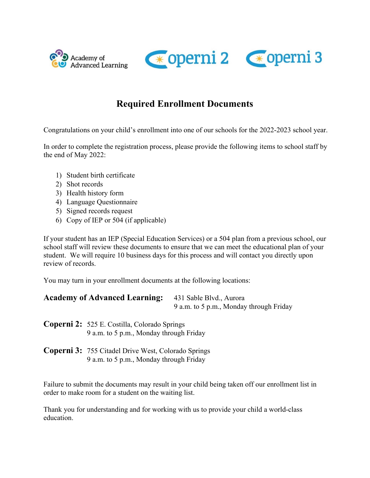



# **Required Enrollment Documents**

Congratulations on your child's enrollment into one of our schools for the 2022-2023 school year.

In order to complete the registration process, please provide the following items to school staff by the end of May 2022:

- 1) Student birth certificate
- 2) Shot records
- 3) Health history form
- 4) Language Questionnaire
- 5) Signed records request
- 6) Copy of IEP or 504 (if applicable)

If your student has an IEP (Special Education Services) or a 504 plan from a previous school, our school staff will review these documents to ensure that we can meet the educational plan of your student. We will require 10 business days for this process and will contact you directly upon review of records.

You may turn in your enrollment documents at the following locations:

| <b>Academy of Advanced Learning:</b> | 431 Sable Blvd., Aurora                 |  |  |
|--------------------------------------|-----------------------------------------|--|--|
|                                      | 9 a.m. to 5 p.m., Monday through Friday |  |  |

**Coperni 2:** 525 E. Costilla, Colorado Springs 9 a.m. to 5 p.m., Monday through Friday

**Coperni 3:** 755 Citadel Drive West, Colorado Springs 9 a.m. to 5 p.m., Monday through Friday

Failure to submit the documents may result in your child being taken off our enrollment list in order to make room for a student on the waiting list.

Thank you for understanding and for working with us to provide your child a world-class education.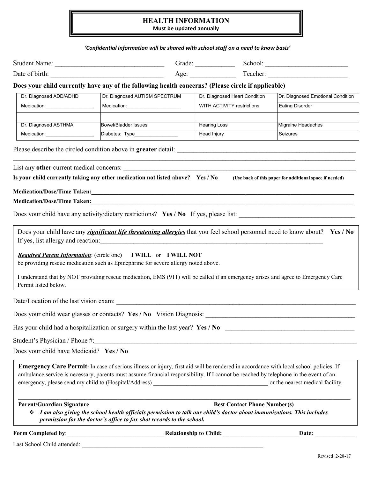### **HEALTH INFORMATION**

**Must be updated annually**

#### *'Confidential information will be shared with school staff on a need to know basis'*

|                                         | 'Confidential information will be shared with school staff on a need to know basis'                                                                                                                                                                                                              |                                     |                                                         |
|-----------------------------------------|--------------------------------------------------------------------------------------------------------------------------------------------------------------------------------------------------------------------------------------------------------------------------------------------------|-------------------------------------|---------------------------------------------------------|
|                                         |                                                                                                                                                                                                                                                                                                  |                                     |                                                         |
|                                         |                                                                                                                                                                                                                                                                                                  |                                     |                                                         |
|                                         | Does your child currently have any of the following health concerns? (Please circle if applicable)                                                                                                                                                                                               |                                     |                                                         |
| Dr. Diagnosed ADD/ADHD                  | Dr. Diagnosed AUTISM SPECTRUM                                                                                                                                                                                                                                                                    | Dr. Diagnosed Heart Condition       | Dr. Diagnosed Emotional Condition                       |
| Medication: Nedication:                 | Medication:________________________                                                                                                                                                                                                                                                              | WITH ACTIVITY restrictions          | <b>Eating Disorder</b>                                  |
| Dr. Diagnosed ASTHMA                    | <b>Bowel/Bladder Issues</b>                                                                                                                                                                                                                                                                      | <b>Hearing Loss</b>                 | Migraine Headaches                                      |
| Medication:______________________       | Diabetes: Type________________                                                                                                                                                                                                                                                                   | Head Injury                         | Seizures                                                |
|                                         | Is your child currently taking any other medication not listed above? Yes / No                                                                                                                                                                                                                   |                                     | (Use back of this paper for additional space if needed) |
|                                         |                                                                                                                                                                                                                                                                                                  |                                     |                                                         |
|                                         |                                                                                                                                                                                                                                                                                                  |                                     |                                                         |
|                                         |                                                                                                                                                                                                                                                                                                  |                                     |                                                         |
| Permit listed below.                    | <b>Required Parent Information: (circle one)</b> I WILL or I WILL NOT<br>be providing rescue medication such as Epinephrine for severe allergy noted above.<br>I understand that by NOT providing rescue medication, EMS (911) will be called if an emergency arises and agree to Emergency Care |                                     |                                                         |
|                                         |                                                                                                                                                                                                                                                                                                  |                                     |                                                         |
|                                         | Does your child wear glasses or contacts? Yes / No Vision Diagnosis:                                                                                                                                                                                                                             |                                     |                                                         |
|                                         | Has your child had a hospitalization or surgery within the last year? Yes / No                                                                                                                                                                                                                   |                                     |                                                         |
|                                         |                                                                                                                                                                                                                                                                                                  |                                     |                                                         |
| Does your child have Medicaid? Yes / No |                                                                                                                                                                                                                                                                                                  |                                     |                                                         |
|                                         | Emergency Care Permit: In case of serious illness or injury, first aid will be rendered in accordance with local school policies. If<br>ambulance service is necessary, parents must assume financial responsibility. If I cannot be reached by telephone in the event of an                     |                                     |                                                         |
| <b>Parent/Guardian Signature</b>        |                                                                                                                                                                                                                                                                                                  | <b>Best Contact Phone Number(s)</b> |                                                         |
|                                         | $\div$ I am also giving the school health officials permission to talk our child's doctor about immunizations. This includes<br>permission for the doctor's office to fax shot records to the school.                                                                                            |                                     |                                                         |
| Form Completed by:                      |                                                                                                                                                                                                                                                                                                  | <b>Relationship to Child:</b>       | Date:                                                   |

Last School Child attended: \_\_\_\_\_\_\_\_\_\_\_\_\_\_\_\_\_\_\_\_\_\_\_\_\_\_\_\_\_\_\_\_\_\_\_\_\_\_\_\_\_\_\_\_\_\_\_\_\_\_\_\_\_\_\_\_\_\_\_\_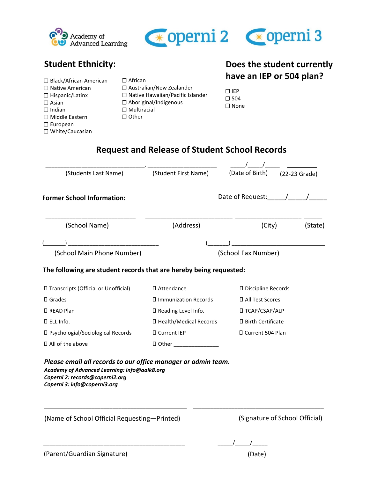



**Does the student currently**

## **Student Ethnicity:**

| □ Black/African American<br>$\Box$ Native American<br>$\Box$ Hispanic/Latinx<br>$\Box$ Asian<br>$\Box$ Indian<br>$\Box$ Middle Eastern<br>$\Box$ European<br>□ White/Caucasian | $\Box$ African<br>$\Box$ Australian/New Zealander<br>$\Box$ Native Hawaiian/Pacific Islander<br>$\Box$ Aboriginal/Indigenous<br>$\Box$ Multiracial<br>$\Box$ Other | $\sqcap$ IEP<br>$\Box$ 504<br>$\Box$ None |        | have an IEP or 504 plan? |
|--------------------------------------------------------------------------------------------------------------------------------------------------------------------------------|--------------------------------------------------------------------------------------------------------------------------------------------------------------------|-------------------------------------------|--------|--------------------------|
| (Students Last Name)                                                                                                                                                           | <b>Request and Release of Student School Records</b><br>(Student First Name)                                                                                       | (Date of Birth)                           |        | (22-23 Grade)            |
| <b>Former School Information:</b>                                                                                                                                              |                                                                                                                                                                    | Date of Request: /                        |        |                          |
| (School Name)                                                                                                                                                                  | (Address)                                                                                                                                                          |                                           | (City) | (State)                  |
| (School Main Phone Number)                                                                                                                                                     |                                                                                                                                                                    | (School Fax Number)                       |        |                          |

#### **The following are student records that are hereby being requested:**

| □ Transcripts (Official or Unofficial)   | □ Attendance                | $\Box$ Discipline Records |
|------------------------------------------|-----------------------------|---------------------------|
| $\square$ Grades                         | $\Box$ Immunization Records | □ All Test Scores         |
| □ READ Plan                              | $\Box$ Reading Level Info.  | □ TCAP/CSAP/ALP           |
| $\Box$ ELL Info.                         | □ Health/Medical Records    | $\Box$ Birth Certificate  |
| $\Box$ Psychologial/Sociological Records | □ Current IEP               | □ Current 504 Plan        |
| $\Box$ All of the above                  | $\square$ Other             |                           |

\_\_\_\_\_\_\_\_\_\_\_\_\_\_\_\_\_\_\_\_\_\_\_\_\_\_\_\_\_\_\_\_\_\_\_\_\_\_\_\_\_\_\_\_\_\_\_\_ \_\_\_\_\_\_\_\_\_\_\_\_\_\_\_\_\_\_\_\_\_\_\_\_\_\_\_\_\_\_\_\_\_\_\_\_\_\_\_\_\_\_\_\_

*Please email all records to our office manager or admin team. Academy of Advanced Learning: info@aalk8.org Coperni 2: records@coperni2.org Coperni 3: info@coperni3.org*

(Name of School Official Requesting—Printed) (Signature of School Official)

 $\frac{1}{2}$  ,  $\frac{1}{2}$  ,  $\frac{1}{2}$  ,  $\frac{1}{2}$  ,  $\frac{1}{2}$  ,  $\frac{1}{2}$  ,  $\frac{1}{2}$  ,  $\frac{1}{2}$  ,  $\frac{1}{2}$  ,  $\frac{1}{2}$  ,  $\frac{1}{2}$  ,  $\frac{1}{2}$  ,  $\frac{1}{2}$  ,  $\frac{1}{2}$  ,  $\frac{1}{2}$  ,  $\frac{1}{2}$  ,  $\frac{1}{2}$  ,  $\frac{1}{2}$  ,  $\frac{1$ 

| c. |  |
|----|--|
|----|--|